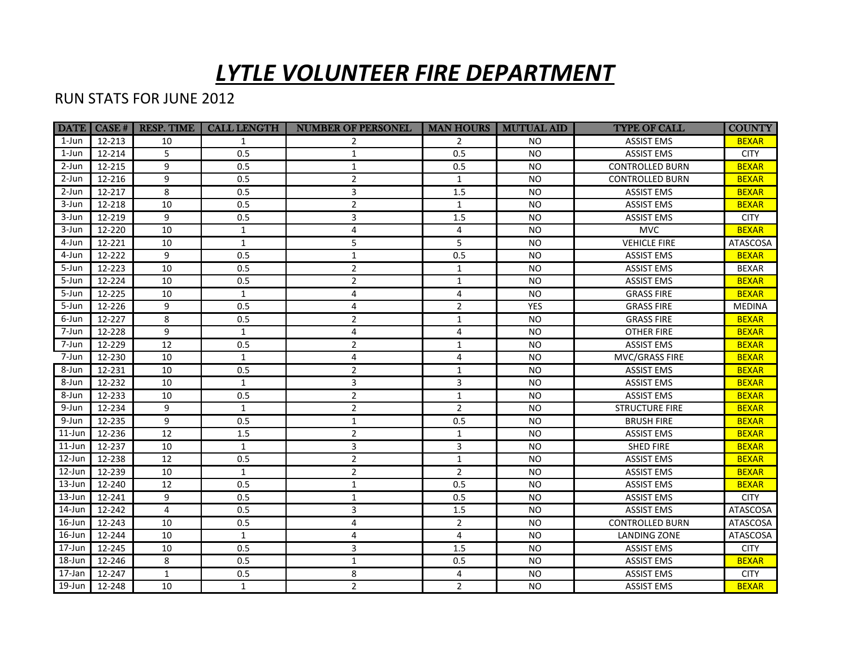## *LYTLE VOLUNTEER FIRE DEPARTMENT*

## RUN STATS FOR JUNE 2012

|            | DATE   CASE # | <b>RESP. TIME</b> | <b>CALL LENGTH</b> | <b>NUMBER OF PERSONEL</b> | <b>MAN HOURS   MUTUAL AID</b> |            | <b>TYPE OF CALL</b>    | <b>COUNTY</b>   |
|------------|---------------|-------------------|--------------------|---------------------------|-------------------------------|------------|------------------------|-----------------|
| $1$ -Jun   | 12-213        | 10                | $\mathbf{1}$       | $\overline{2}$            | $\overline{2}$                | NO.        | <b>ASSIST EMS</b>      | <b>BEXAR</b>    |
| 1-Jun      | 12-214        | 5                 | 0.5                | $\mathbf{1}$              | 0.5                           | <b>NO</b>  | <b>ASSIST EMS</b>      | <b>CITY</b>     |
| 2-Jun      | 12-215        | 9                 | 0.5                | $\mathbf{1}$              | 0.5                           | <b>NO</b>  | <b>CONTROLLED BURN</b> | <b>BEXAR</b>    |
| 2-Jun      | 12-216        | 9                 | 0.5                | $\overline{2}$            | $\mathbf{1}$                  | <b>NO</b>  | <b>CONTROLLED BURN</b> | <b>BEXAR</b>    |
| 2-Jun      | 12-217        | 8                 | 0.5                | 3                         | 1.5                           | <b>NO</b>  | <b>ASSIST EMS</b>      | <b>BEXAR</b>    |
| 3-Jun      | 12-218        | 10                | 0.5                | $\overline{2}$            | $\mathbf{1}$                  | <b>NO</b>  | <b>ASSIST EMS</b>      | <b>BEXAR</b>    |
| 3-Jun      | 12-219        | 9                 | 0.5                | 3                         | 1.5                           | <b>NO</b>  | <b>ASSIST EMS</b>      | <b>CITY</b>     |
| 3-Jun      | 12-220        | 10                | $\mathbf{1}$       | 4                         | $\overline{a}$                | <b>NO</b>  | <b>MVC</b>             | <b>BEXAR</b>    |
| 4-Jun      | 12-221        | 10                | $\mathbf{1}$       | 5                         | 5                             | <b>NO</b>  | <b>VEHICLE FIRE</b>    | ATASCOSA        |
| 4-Jun      | 12-222        | 9                 | 0.5                | $\mathbf{1}$              | 0.5                           | <b>NO</b>  | <b>ASSIST EMS</b>      | <b>BEXAR</b>    |
| 5-Jun      | 12-223        | 10                | 0.5                | $\overline{2}$            | $\mathbf{1}$                  | <b>NO</b>  | <b>ASSIST EMS</b>      | <b>BEXAR</b>    |
| 5-Jun      | 12-224        | 10                | 0.5                | $\overline{2}$            | $\mathbf{1}$                  | <b>NO</b>  | <b>ASSIST EMS</b>      | <b>BEXAR</b>    |
| 5-Jun      | 12-225        | 10                | $\mathbf{1}$       | 4                         | 4                             | <b>NO</b>  | <b>GRASS FIRE</b>      | <b>BEXAR</b>    |
| 5-Jun      | 12-226        | 9                 | 0.5                | 4                         | $\overline{2}$                | <b>YES</b> | <b>GRASS FIRE</b>      | <b>MEDINA</b>   |
| 6-Jun      | 12-227        | 8                 | 0.5                | $\overline{2}$            | $\mathbf{1}$                  | <b>NO</b>  | <b>GRASS FIRE</b>      | <b>BEXAR</b>    |
| 7-Jun      | 12-228        | 9                 | $\mathbf{1}$       | 4                         | 4                             | <b>NO</b>  | <b>OTHER FIRE</b>      | <b>BEXAR</b>    |
| 7-Jun      | 12-229        | 12                | 0.5                | $\overline{2}$            | $\mathbf{1}$                  | <b>NO</b>  | <b>ASSIST EMS</b>      | <b>BEXAR</b>    |
| 7-Jun      | 12-230        | 10                | $\mathbf{1}$       | 4                         | 4                             | <b>NO</b>  | MVC/GRASS FIRE         | <b>BEXAR</b>    |
| $8 - Jun$  | 12-231        | 10                | 0.5                | $\overline{2}$            | $\mathbf{1}$                  | <b>NO</b>  | <b>ASSIST EMS</b>      | <b>BEXAR</b>    |
| 8-Jun      | 12-232        | 10                | $\mathbf{1}$       | 3                         | 3                             | <b>NO</b>  | <b>ASSIST EMS</b>      | <b>BEXAR</b>    |
| 8-Jun      | 12-233        | 10                | 0.5                | $\overline{2}$            | $\mathbf{1}$                  | <b>NO</b>  | <b>ASSIST EMS</b>      | <b>BEXAR</b>    |
| 9-Jun      | 12-234        | 9                 | 1                  | $\overline{2}$            | $\overline{2}$                | <b>NO</b>  | <b>STRUCTURE FIRE</b>  | <b>BEXAR</b>    |
| 9-Jun      | 12-235        | 9                 | 0.5                | $\mathbf{1}$              | 0.5                           | <b>NO</b>  | <b>BRUSH FIRE</b>      | <b>BEXAR</b>    |
| $11$ -Jun  | 12-236        | 12                | 1.5                | $\overline{2}$            | $\mathbf{1}$                  | <b>NO</b>  | <b>ASSIST EMS</b>      | <b>BEXAR</b>    |
| $11$ -Jun  | 12-237        | 10                | $\mathbf{1}$       | 3                         | 3                             | <b>NO</b>  | <b>SHED FIRE</b>       | <b>BEXAR</b>    |
| $12$ -Jun  | 12-238        | 12                | 0.5                | $\overline{2}$            | $\mathbf{1}$                  | <b>NO</b>  | <b>ASSIST EMS</b>      | <b>BEXAR</b>    |
| $12$ -Jun  | 12-239        | 10                | $\mathbf{1}$       | $\overline{2}$            | $\overline{2}$                | <b>NO</b>  | <b>ASSIST EMS</b>      | <b>BEXAR</b>    |
| $13$ -Jun  | 12-240        | 12                | 0.5                | $\mathbf{1}$              | 0.5                           | <b>NO</b>  | <b>ASSIST EMS</b>      | <b>BEXAR</b>    |
| $13 - Jun$ | 12-241        | 9                 | 0.5                | $\mathbf{1}$              | 0.5                           | <b>NO</b>  | <b>ASSIST EMS</b>      | <b>CITY</b>     |
| $14$ -Jun  | 12-242        | 4                 | 0.5                | 3                         | 1.5                           | <b>NO</b>  | <b>ASSIST EMS</b>      | <b>ATASCOSA</b> |
| $16$ -Jun  | 12-243        | 10                | 0.5                | 4                         | $\overline{2}$                | <b>NO</b>  | <b>CONTROLLED BURN</b> | ATASCOSA        |
| $16$ -Jun  | 12-244        | 10                | $\mathbf{1}$       | 4                         | 4                             | <b>NO</b>  | LANDING ZONE           | ATASCOSA        |
| $17 - Jun$ | 12-245        | 10                | 0.5                | 3                         | 1.5                           | <b>NO</b>  | <b>ASSIST EMS</b>      | <b>CITY</b>     |
| 18-Jun     | 12-246        | 8                 | 0.5                | $\mathbf{1}$              | 0.5                           | <b>NO</b>  | <b>ASSIST EMS</b>      | <b>BEXAR</b>    |
| 17-Jan     | 12-247        | $\mathbf{1}$      | 0.5                | 8                         | 4                             | <b>NO</b>  | <b>ASSIST EMS</b>      | <b>CITY</b>     |
| 19-Jun     | 12-248        | 10                | $\mathbf{1}$       | $\overline{2}$            | $\overline{2}$                | <b>NO</b>  | <b>ASSIST EMS</b>      | <b>BEXAR</b>    |